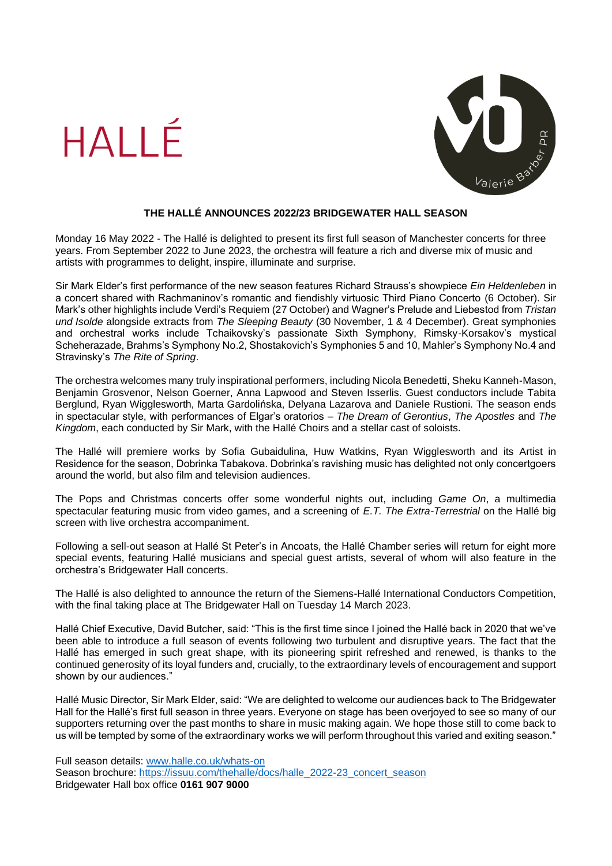



## **THE HALLÉ ANNOUNCES 2022/23 BRIDGEWATER HALL SEASON**

Monday 16 May 2022 - The Hallé is delighted to present its first full season of Manchester concerts for three years. From September 2022 to June 2023, the orchestra will feature a rich and diverse mix of music and artists with programmes to delight, inspire, illuminate and surprise.

Sir Mark Elder's first performance of the new season features Richard Strauss's showpiece *Ein Heldenleben* in a concert shared with Rachmaninov's romantic and fiendishly virtuosic Third Piano Concerto (6 October). Sir Mark's other highlights include Verdi's Requiem (27 October) and Wagner's Prelude and Liebestod from *Tristan und Isolde* alongside extracts from *The Sleeping Beauty* (30 November, 1 & 4 December). Great symphonies and orchestral works include Tchaikovsky's passionate Sixth Symphony, Rimsky-Korsakov's mystical Scheherazade, Brahms's Symphony No.2, Shostakovich's Symphonies 5 and 10, Mahler's Symphony No.4 and Stravinsky's *The Rite of Spring*.

The orchestra welcomes many truly inspirational performers, including Nicola Benedetti, Sheku Kanneh-Mason, Benjamin Grosvenor, Nelson Goerner, Anna Lapwood and Steven Isserlis. Guest conductors include Tabita Berglund, Ryan Wigglesworth, Marta Gardolińska, Delyana Lazarova and Daniele Rustioni. The season ends in spectacular style, with performances of Elgar's oratorios – *The Dream of Gerontius*, *The Apostles* and *The Kingdom*, each conducted by Sir Mark, with the Hallé Choirs and a stellar cast of soloists.

The Hallé will premiere works by Sofia Gubaidulina, Huw Watkins, Ryan Wigglesworth and its Artist in Residence for the season, Dobrinka Tabakova. Dobrinka's ravishing music has delighted not only concertgoers around the world, but also film and television audiences.

The Pops and Christmas concerts offer some wonderful nights out, including *Game On*, a multimedia spectacular featuring music from video games, and a screening of *E.T. The Extra-Terrestrial* on the Hallé big screen with live orchestra accompaniment.

Following a sell-out season at Hallé St Peter's in Ancoats, the Hallé Chamber series will return for eight more special events, featuring Hallé musicians and special guest artists, several of whom will also feature in the orchestra's Bridgewater Hall concerts.

The Hallé is also delighted to announce the return of the Siemens-Hallé International Conductors Competition, with the final taking place at The Bridgewater Hall on Tuesday 14 March 2023.

Hallé Chief Executive, David Butcher, said: "This is the first time since I joined the Hallé back in 2020 that we've been able to introduce a full season of events following two turbulent and disruptive years. The fact that the Hallé has emerged in such great shape, with its pioneering spirit refreshed and renewed, is thanks to the continued generosity of its loyal funders and, crucially, to the extraordinary levels of encouragement and support shown by our audiences."

Hallé Music Director, Sir Mark Elder, said: "We are delighted to welcome our audiences back to The Bridgewater Hall for the Hallé's first full season in three years. Everyone on stage has been overjoyed to see so many of our supporters returning over the past months to share in music making again. We hope those still to come back to us will be tempted by some of the extraordinary works we will perform throughout this varied and exiting season."

Full season details: [www.halle.co.uk/whats-on](http://www.halle.co.uk/whats-on) Season brochure: [https://issuu.com/thehalle/docs/halle\\_2022-23\\_concert\\_season](https://issuu.com/thehalle/docs/halle_2022-23_concert_season) Bridgewater Hall box office **0161 907 9000**